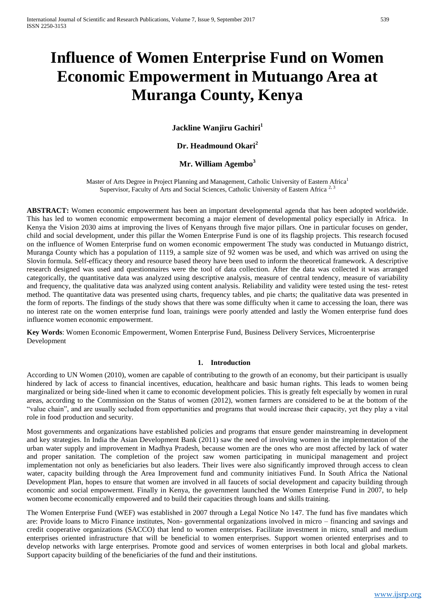# **Influence of Women Enterprise Fund on Women Economic Empowerment in Mutuango Area at Muranga County, Kenya**

**Jackline Wanjiru Gachiri<sup>1</sup>**

**Dr. Headmound Okari<sup>2</sup>**

# **Mr. William Agembo<sup>3</sup>**

Master of Arts Degree in Project Planning and Management, Catholic University of Eastern Africa<sup>1</sup> Supervisor, Faculty of Arts and Social Sciences, Catholic University of Eastern Africa<sup>2</sup>

**ABSTRACT:** Women economic empowerment has been an important developmental agenda that has been adopted worldwide. This has led to women economic empowerment becoming a major element of developmental policy especially in Africa. In Kenya the Vision 2030 aims at improving the lives of Kenyans through five major pillars. One in particular focuses on gender, child and social development, under this pillar the Women Enterprise Fund is one of its flagship projects. This research focused on the influence of Women Enterprise fund on women economic empowerment The study was conducted in Mutuango district, Muranga County which has a population of 1119, a sample size of 92 women was be used, and which was arrived on using the Slovin formula. Self-efficacy theory and resource based theory have been used to inform the theoretical framework. A descriptive research designed was used and questionnaires were the tool of data collection. After the data was collected it was arranged categorically, the quantitative data was analyzed using descriptive analysis, measure of central tendency, measure of variability and frequency, the qualitative data was analyzed using content analysis. Reliability and validity were tested using the test- retest method. The quantitative data was presented using charts, frequency tables, and pie charts; the qualitative data was presented in the form of reports. The findings of the study shows that there was some difficulty when it came to accessing the loan, there was no interest rate on the women enterprise fund loan, trainings were poorly attended and lastly the Women enterprise fund does influence women economic empowerment.

**Key Words**: Women Economic Empowerment, Women Enterprise Fund, Business Delivery Services, Microenterprise Development

## **1. Introduction**

According to UN Women (2010), women are capable of contributing to the growth of an economy, but their participant is usually hindered by lack of access to financial incentives, education, healthcare and basic human rights. This leads to women being marginalized or being side-lined when it came to economic development policies. This is greatly felt especially by women in rural areas, according to the Commission on the Status of women (2012), women farmers are considered to be at the bottom of the "value chain", and are usually secluded from opportunities and programs that would increase their capacity, yet they play a vital role in food production and security.

Most governments and organizations have established policies and programs that ensure gender mainstreaming in development and key strategies. In India the Asian Development Bank (2011) saw the need of involving women in the implementation of the urban water supply and improvement in Madhya Pradesh, because women are the ones who are most affected by lack of water and proper sanitation. The completion of the project saw women participating in municipal management and project implementation not only as beneficiaries but also leaders. Their lives were also significantly improved through access to clean water, capacity building through the Area Improvement fund and community initiatives Fund. In South Africa the National Development Plan, hopes to ensure that women are involved in all faucets of social development and capacity building through economic and social empowerment. Finally in Kenya, the government launched the Women Enterprise Fund in 2007, to help women become economically empowered and to build their capacities through loans and skills training.

The Women Enterprise Fund (WEF) was established in 2007 through a Legal Notice No 147. The fund has five mandates which are: Provide loans to Micro Finance institutes, Non- governmental organizations involved in micro – financing and savings and credit cooperative organizations (SACCO) that lend to women enterprises. Facilitate investment in micro, small and medium enterprises oriented infrastructure that will be beneficial to women enterprises. Support women oriented enterprises and to develop networks with large enterprises. Promote good and services of women enterprises in both local and global markets. Support capacity building of the beneficiaries of the fund and their institutions.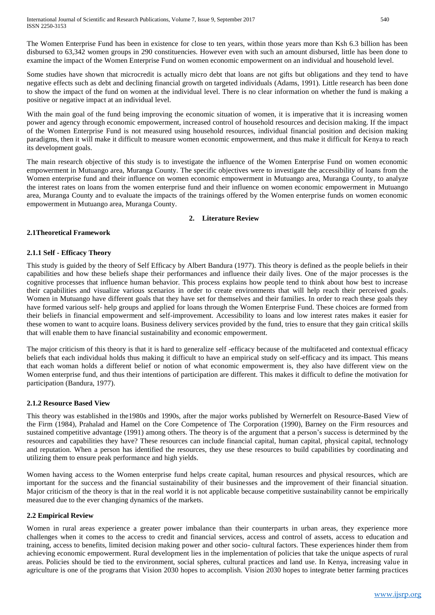International Journal of Scientific and Research Publications, Volume 7, Issue 9, September 2017 540 ISSN 2250-3153

The Women Enterprise Fund has been in existence for close to ten years, within those years more than Ksh 6.3 billion has been disbursed to 63,342 women groups in 290 constituencies. However even with such an amount disbursed, little has been done to examine the impact of the Women Enterprise Fund on women economic empowerment on an individual and household level.

Some studies have shown that microcredit is actually micro debt that loans are not gifts but obligations and they tend to have negative effects such as debt and declining financial growth on targeted individuals (Adams, 1991). Little research has been done to show the impact of the fund on women at the individual level. There is no clear information on whether the fund is making a positive or negative impact at an individual level.

With the main goal of the fund being improving the economic situation of women, it is imperative that it is increasing women power and agency through economic empowerment, increased control of household resources and decision making. If the impact of the Women Enterprise Fund is not measured using household resources, individual financial position and decision making paradigms, then it will make it difficult to measure women economic empowerment, and thus make it difficult for Kenya to reach its development goals.

The main research objective of this study is to investigate the influence of the Women Enterprise Fund on women economic empowerment in Mutuango area, Muranga County. The specific objectives were to investigate the accessibility of loans from the Women enterprise fund and their influence on women economic empowerment in Mutuango area, Muranga County, to analyze the interest rates on loans from the women enterprise fund and their influence on women economic empowerment in Mutuango area, Muranga County and to evaluate the impacts of the trainings offered by the Women enterprise funds on women economic empowerment in Mutuango area, Muranga County.

## **2. Literature Review**

## **2.1Theoretical Framework**

#### **2.1.1 Self - Efficacy Theory**

This study is guided by the theory of Self Efficacy by Albert Bandura (1977). This theory is defined as the people beliefs in their capabilities and how these beliefs shape their performances and influence their daily lives. One of the major processes is the cognitive processes that influence human behavior. This process explains how people tend to think about how best to increase their capabilities and visualize various scenarios in order to create environments that will help reach their perceived goals. Women in Mutuango have different goals that they have set for themselves and their families. In order to reach these goals they have formed various self- help groups and applied for loans through the Women Enterprise Fund. These choices are formed from their beliefs in financial empowerment and self-improvement. Accessibility to loans and low interest rates makes it easier for these women to want to acquire loans. Business delivery services provided by the fund, tries to ensure that they gain critical skills that will enable them to have financial sustainability and economic empowerment.

The major criticism of this theory is that it is hard to generalize self -efficacy because of the multifaceted and contextual efficacy beliefs that each individual holds thus making it difficult to have an empirical study on self-efficacy and its impact. This means that each woman holds a different belief or notion of what economic empowerment is, they also have different view on the Women enterprise fund, and thus their intentions of participation are different. This makes it difficult to define the motivation for participation (Bandura, 1977).

#### **2.1.2 Resource Based View**

This theory was established in the1980s and 1990s, after the major works published by Wernerfelt on Resource-Based View of the Firm (1984), Prahalad and Hamel on the Core Competence of The Corporation (1990), Barney on the Firm resources and sustained competitive advantage (1991) among others. The theory is of the argument that a person's success is determined by the resources and capabilities they have? These resources can include financial capital, human capital, physical capital, technology and reputation. When a person has identified the resources, they use these resources to build capabilities by coordinating and utilizing them to ensure peak performance and high yields.

Women having access to the Women enterprise fund helps create capital, human resources and physical resources, which are important for the success and the financial sustainability of their businesses and the improvement of their financial situation. Major criticism of the theory is that in the real world it is not applicable because competitive sustainability cannot be empirically measured due to the ever changing dynamics of the markets.

## **2.2 Empirical Review**

Women in rural areas experience a greater power imbalance than their counterparts in urban areas, they experience more challenges when it comes to the access to credit and financial services, access and control of assets, access to education and training, access to benefits, limited decision making power and other socio- cultural factors. These experiences hinder them from achieving economic empowerment. Rural development lies in the implementation of policies that take the unique aspects of rural areas. Policies should be tied to the environment, social spheres, cultural practices and land use. In Kenya, increasing value in agriculture is one of the programs that Vision 2030 hopes to accomplish. Vision 2030 hopes to integrate better farming practices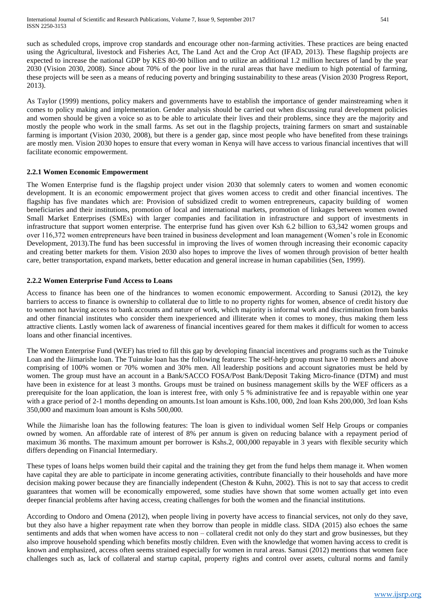International Journal of Scientific and Research Publications, Volume 7, Issue 9, September 2017 541 ISSN 2250-3153

such as scheduled crops, improve crop standards and encourage other non-farming activities. These practices are being enacted using the Agricultural, livestock and Fisheries Act, The Land Act and the Crop Act (IFAD, 2013). These flagship projects are expected to increase the national GDP by KES 80-90 billion and to utilize an additional 1.2 million hectares of land by the year 2030 (Vision 2030, 2008). Since about 70% of the poor live in the rural areas that have medium to high potential of farming, these projects will be seen as a means of reducing poverty and bringing sustainability to these areas (Vision 2030 Progress Report, 2013).

As Taylor (1999) mentions, policy makers and governments have to establish the importance of gender mainstreaming when it comes to policy making and implementation. Gender analysis should be carried out when discussing rural development policies and women should be given a voice so as to be able to articulate their lives and their problems, since they are the majority and mostly the people who work in the small farms. As set out in the flagship projects, training farmers on smart and sustainable farming is important (Vision 2030, 2008), but there is a gender gap, since most people who have benefited from these trainings are mostly men. Vision 2030 hopes to ensure that every woman in Kenya will have access to various financial incentives that will facilitate economic empowerment.

#### **2.2.1 Women Economic Empowerment**

The Women Enterprise fund is the flagship project under vision 2030 that solemnly caters to women and women economic development. It is an economic empowerment project that gives women access to credit and other financial incentives. The flagship has five mandates which are: Provision of subsidized credit to women entrepreneurs, capacity building of women beneficiaries and their institutions, promotion of local and international markets, promotion of linkages between women owned Small Market Enterprises (SMEs) with larger companies and facilitation in infrastructure and support of investments in infrastructure that support women enterprise. The enterprise fund has given over Ksh 6.2 billion to 63,342 women groups and over 116,372 women entrepreneurs have been trained in business development and loan management (Women's role in Economic Development, 2013).The fund has been successful in improving the lives of women through increasing their economic capacity and creating better markets for them. Vision 2030 also hopes to improve the lives of women through provision of better health care, better transportation, expand markets, better education and general increase in human capabilities (Sen, 1999).

#### **2.2.2 Women Enterprise Fund Access to Loans**

Access to finance has been one of the hindrances to women economic empowerment. According to Sanusi (2012), the key barriers to access to finance is ownership to collateral due to little to no property rights for women, absence of credit history due to women not having access to bank accounts and nature of work, which majority is informal work and discrimination from banks and other financial institutes who consider them inexperienced and illiterate when it comes to money, thus making them less attractive clients. Lastly women lack of awareness of financial incentives geared for them makes it difficult for women to access loans and other financial incentives.

The Women Enterprise Fund (WEF) has tried to fill this gap by developing financial incentives and programs such as the Tuinuke Loan and the Jiimarishe loan. The Tuinuke loan has the following features: The self-help group must have 10 members and above comprising of 100% women or 70% women and 30% men. All leadership positions and account signatories must be held by women. The group must have an account in a Bank/SACCO FOSA/Post Bank/Deposit Taking Micro-finance (DTM) and must have been in existence for at least 3 months. Groups must be trained on business management skills by the WEF officers as a prerequisite for the loan application, the loan is interest free, with only 5 % administrative fee and is repayable within one year with a grace period of 2-1 months depending on amounts.1st loan amount is Kshs.100, 000, 2nd loan Kshs 200,000, 3rd loan Kshs 350,000 and maximum loan amount is Kshs 500,000.

While the Jiimarishe loan has the following features: The loan is given to individual women Self Help Groups or companies owned by women. An affordable rate of interest of 8% per annum is given on reducing balance with a repayment period of maximum 36 months. The maximum amount per borrower is Kshs.2, 000,000 repayable in 3 years with flexible security which differs depending on Financial Intermediary.

These types of loans helps women build their capital and the training they get from the fund helps them manage it. When women have capital they are able to participate in income generating activities, contribute financially to their households and have more decision making power because they are financially independent (Cheston & Kuhn, 2002). This is not to say that access to credit guarantees that women will be economically empowered, some studies have shown that some women actually get into even deeper financial problems after having access, creating challenges for both the women and the financial institutions.

According to Ondoro and Omena (2012), when people living in poverty have access to financial services, not only do they save, but they also have a higher repayment rate when they borrow than people in middle class. SIDA (2015) also echoes the same sentiments and adds that when women have access to non – collateral credit not only do they start and grow businesses, but they also improve household spending which benefits mostly children. Even with the knowledge that women having access to credit is known and emphasized, access often seems strained especially for women in rural areas. Sanusi (2012) mentions that women face challenges such as, lack of collateral and startup capital, property rights and control over assets, cultural norms and family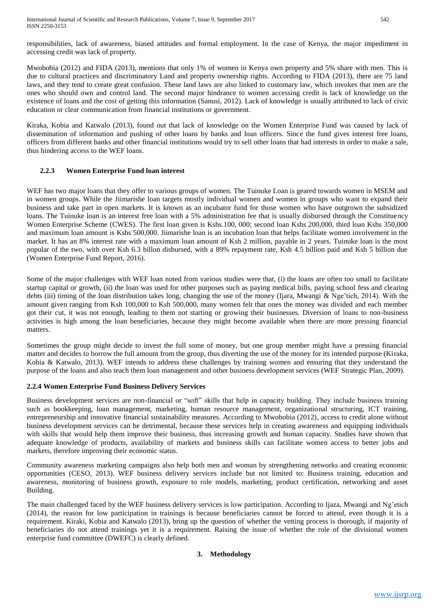responsibilities, lack of awareness, biased attitudes and formal employment. In the case of Kenya, the major impediment in accessing credit was lack of property.

Mwobobia (2012) and FIDA (2013), mentions that only 1% of women in Kenya own property and 5% share with men. This is due to cultural practices and discriminatory Land and property ownership rights. According to FIDA (2013), there are 75 land laws, and they tend to create great confusion. These land laws are also linked to customary law, which invokes that men are the ones who should own and control land. The second major hindrance to women accessing credit is lack of knowledge on the existence of loans and the cost of getting this information (Sanusi, 2012). Lack of knowledge is usually attributed to lack of civic education or clear communication from financial institutions or government.

Kiraka, Kobia and Katwalo (2013), found out that lack of knowledge on the Women Enterprise Fund was caused by lack of dissemination of information and pushing of other loans by banks and loan officers. Since the fund gives interest free loans, officers from different banks and other financial institutions would try to sell other loans that had interests in order to make a sale, thus hindering access to the WEF loans.

## **2.2.3 Women Enterprise Fund loan interest**

WEF has two major loans that they offer to various groups of women. The Tuinuke Loan is geared towards women in MSEM and in women groups. While the Jiimarishe loan targets mostly individual women and women in groups who want to expand their business and take part in open markets. It is known as an incubator fund for those women who have outgrown the subsidized loans. The Tuinuke loan is an interest free loan with a 5% administration fee that is usually disbursed through the Constituency Women Enterprise Scheme (CWES). The first loan given is Kshs.100, 000; second loan Kshs 200,000, third loan Kshs 350,000 and maximum loan amount is Kshs 500,000. Jiimarishe loan is an incubation loan that helps facilitate women involvement in the market. It has an 8% interest rate with a maximum loan amount of Ksh 2 million, payable in 2 years. Tuinuke loan is the most popular of the two, with over Ksh 6.3 billon disbursed, with a 89% repayment rate, Ksh 4.5 billion paid and Ksh 5 billion due (Women Enterprise Fund Report, 2016).

Some of the major challenges with WEF loan noted from various studies were that, (i) the loans are often too small to facilitate startup capital or growth, (ii) the loan was used for other purposes such as paying medical bills, paying school fess and clearing debts (iii) timing of the loan distribution takes long, changing the use of the money (Ijara, Mwangi & Nge'tich, 2014). With the amount given ranging from Ksh 100,000 to Ksh 500,000, many women felt that ones the money was divided and each member got their cut, it was not enough, leading to them not starting or growing their businesses. Diversion of loans to non-business activities is high among the loan beneficiaries, because they might become available when there are more pressing financial matters.

Sometimes the group might decide to invest the full some of money, but one group member might have a pressing financial matter and decides to borrow the full amount from the group, thus diverting the use of the money for its intended purpose (Kiraka, Kobia & Katwalo, 2013). WEF intends to address these challenges by training women and ensuring that they understand the purpose of the loans and also teach them loan management and other business development services (WEF Strategic Plan, 2009).

## **2.2.4 Women Enterprise Fund Business Delivery Services**

Business development services are non-financial or "soft" skills that help in capacity building. They include business training such as bookkeeping, loan management, marketing, human resource management, organizational structuring, ICT training, entrepreneurship and innovative financial sustainability measures. According to Mwobobia (2012), access to credit alone without business development services can be detrimental, because these services help in creating awareness and equipping individuals with skills that would help them improve their business, thus increasing growth and human capacity. Studies have shown that adequate knowledge of products, availability of markets and business skills can facilitate women access to better jobs and markets, therefore improving their economic status.

Community awareness marketing campaigns also help both men and woman by strengthening networks and creating economic opportunities (CESO, 2013). WEF business delivery services include but not limited to: Business training, education and awareness, monitoring of business growth, exposure to role models, marketing, product certification, networking and asset Building.

The main challenged faced by the WEF business delivery services is low participation. According to Ijaza, Mwangi and Ng'etich (2014), the reason for low participation in trainings is because beneficiaries cannot be forced to attend, even though it is a requirement. Kiraki, Kobia and Katwalo (2013), bring up the question of whether the vetting process is thorough, if majority of beneficiaries do not attend trainings yet it is a requirement. Raising the issue of whether the role of the divisional women enterprise fund committee (DWEFC) is clearly defined.

## **3. Methodology**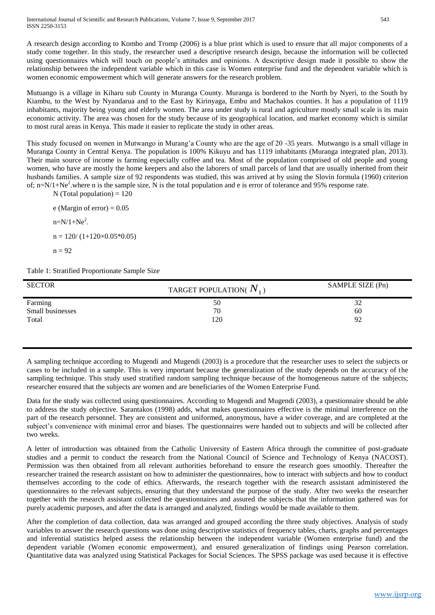A research design according to Kombo and Tromp (2006) is a blue print which is used to ensure that all major components of a study come together. In this study, the researcher used a descriptive research design, because the information will be collected using questionnaires which will touch on people's attitudes and opinions. A descriptive design made it possible to show the relationship between the independent variable which in this case is Women enterprise fund and the dependent variable which is women economic empowerment which will generate answers for the research problem.

Mutuango is a village in Kiharu sub County in Muranga County. Muranga is bordered to the North by Nyeri, to the South by Kiambu, to the West by Nyandarua and to the East by Kirinyaga, Embu and Machakos counties. It has a population of 1119 inhabitants, majority being young and elderly women. The area under study is rural and agriculture mostly small scale is its main economic activity. The area was chosen for the study because of its geographical location, and market economy which is similar to most rural areas in Kenya. This made it easier to replicate the study in other areas.

This study focused on women in Mutwango in Murang'a County who are the age of 20 -35 years. Mutwango is a small village in Muranga County in Central Kenya. The population is 100% Kikuyu and has 1119 inhabitants (Muranga integrated plan, 2013). Their main source of income is farming especially coffee and tea. Most of the population comprised of old people and young women, who have are mostly the home keepers and also the laborers of small parcels of land that are usually inherited from their husbands families. A sample size of 92 respondents was studied, this was arrived at by using the Slovin formula (1960) criterion of; n= $N/1+Ne^2$ .where n is the sample size, N is the total population and e is error of tolerance and 95% response rate.

 $N$  (Total population) = 120

e (Margin of error) =  $0.05$  $n=N/1+Ne^2$ .  $n = 120/(1+120\times0.05*0.05)$ 

$$
n = 92
$$

Table 1: Stratified Proportionate Sample Size

| <b>SECTOR</b>    | TARGET POPULATION( $N_1$ ) | SAMPLE SIZE (Pn) |
|------------------|----------------------------|------------------|
| Farming          | 50                         | 32               |
| Small businesses | 70                         | 60               |
| Total            | 120                        | 92               |
|                  |                            |                  |

A sampling technique according to Mugendi and Mugendi (2003) is a procedure that the researcher uses to select the subjects or cases to be included in a sample. This is very important because the generalization of the study depends on the accuracy of the sampling technique. This study used stratified random sampling technique because of the homogeneous nature of the subjects; researcher ensured that the subjects are women and are beneficiaries of the Women Enterprise Fund.

Data for the study was collected using questionnaires. According to Mugendi and Mugendi (2003), a questionnaire should be able to address the study objective. Sarantakos (1998) adds, what makes questionnaires effective is the minimal interference on the part of the research personnel. They are consistent and uniformed, anonymous, have a wider coverage, and are completed at the subject's convenience with minimal error and biases. The questionnaires were handed out to subjects and will be collected after two weeks.

A letter of introduction was obtained from the Catholic University of Eastern Africa through the committee of post-graduate studies and a permit to conduct the research from the National Council of Science and Technology of Kenya (NACOST). Permission was then obtained from all relevant authorities beforehand to ensure the research goes smoothly. Thereafter the researcher trained the research assistant on how to administer the questionnaires, how to interact with subjects and how to conduct themselves according to the code of ethics. Afterwards, the research together with the research assistant administered the questionnaires to the relevant subjects, ensuring that they understand the purpose of the study. After two weeks the researcher together with the research assistant collected the questionnaires and assured the subjects that the information gathered was for purely academic purposes, and after the data is arranged and analyzed, findings would be made available to them.

After the completion of data collection, data was arranged and grouped according the three study objectives. Analysis of study variables to answer the research questions was done using descriptive statistics of frequency tables, charts, graphs and percentages and inferential statistics helped assess the relationship between the independent variable (Women enterprise fund) and the dependent variable (Women economic empowerment), and ensured generalization of findings using Pearson correlation. Quantitative data was analyzed using Statistical Packages for Social Sciences. The SPSS package was used because it is effective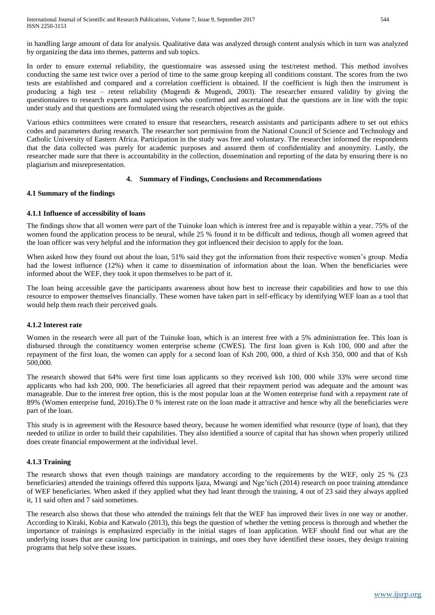International Journal of Scientific and Research Publications, Volume 7, Issue 9, September 2017 544 ISSN 2250-3153

in handling large amount of data for analysis. Qualitative data was analyzed through content analysis which in turn was analyzed by organizing the data into themes, patterns and sub topics.

In order to ensure external reliability, the questionnaire was assessed using the test/retest method. This method involves conducting the same test twice over a period of time to the same group keeping all conditions constant. The scores from the two tests are established and compared and a correlation coefficient is obtained. If the coefficient is high then the instrument is producing a high test – retest reliability (Mugendi & Mugendi, 2003). The researcher ensured validity by giving the questionnaires to research experts and supervisors who confirmed and ascertained that the questions are in line with the topic under study and that questions are formulated using the research objectives as the guide.

Various ethics committees were created to ensure that researchers, research assistants and participants adhere to set out ethics codes and parameters during research. The researcher sort permission from the National Council of Science and Technology and Catholic University of Eastern Africa. Participation in the study was free and voluntary. The researcher informed the respondents that the data collected was purely for academic purposes and assured them of confidentiality and anonymity. Lastly, the researcher made sure that there is accountability in the collection, dissemination and reporting of the data by ensuring there is no plagiarism and misrepresentation.

## **4. Summary of Findings, Conclusions and Recommendations**

#### **4.1 Summary of the findings**

#### **4.1.1 Influence of accessibility of loans**

The findings show that all women were part of the Tuinuke loan which is interest free and is repayable within a year. 75% of the women found the application process to be neural, while 25 % found it to be difficult and tedious, though all women agreed that the loan officer was very helpful and the information they got influenced their decision to apply for the loan.

When asked how they found out about the loan, 51% said they got the information from their respective women's group. Media had the lowest influence (12%) when it came to dissemination of information about the loan. When the beneficiaries were informed about the WEF, they took it upon themselves to be part of it.

The loan being accessible gave the participants awareness about how best to increase their capabilities and how to use this resource to empower themselves financially. These women have taken part in self-efficacy by identifying WEF loan as a tool that would help them reach their perceived goals.

#### **4.1.2 Interest rate**

Women in the research were all part of the Tuinuke loan, which is an interest free with a 5% administration fee. This loan is disbursed through the constituency women enterprise scheme (CWES). The first loan given is Ksh 100, 000 and after the repayment of the first loan, the women can apply for a second loan of Ksh 200, 000, a third of Ksh 350, 000 and that of Ksh 500,000.

The research showed that 64% were first time loan applicants so they received ksh 100, 000 while 33% were second time applicants who had ksh 200, 000. The beneficiaries all agreed that their repayment period was adequate and the amount was manageable. Due to the interest free option, this is the most popular loan at the Women enterprise fund with a repayment rate of 89% (Women enterprise fund, 2016).The 0 % interest rate on the loan made it attractive and hence why all the beneficiaries were part of the loan.

This study is in agreement with the Resource based theory, because he women identified what resource (type of loan), that they needed to utilize in order to build their capabilities. They also identified a source of capital that has shown when properly utilized does create financial empowerment at the individual level.

## **4.1.3 Training**

The research shows that even though trainings are mandatory according to the requirements by the WEF, only 25 % (23) beneficiaries) attended the trainings offered this supports Ijaza, Mwangi and Nge'tich (2014) research on poor training attendance of WEF beneficiaries. When asked if they applied what they had leant through the training, 4 out of 23 said they always applied it, 11 said often and 7 said sometimes.

The research also shows that those who attended the trainings felt that the WEF has improved their lives in one way or another. According to Kiraki, Kobia and Katwalo (2013), this begs the question of whether the vetting process is thorough and whether the importance of trainings is emphasized especially in the initial stages of loan application. WEF should find out what are the underlying issues that are causing low participation in trainings, and ones they have identified these issues, they design training programs that help solve these issues.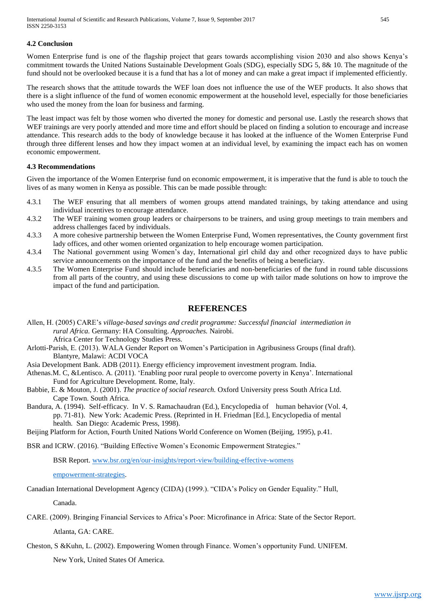#### **4.2 Conclusion**

Women Enterprise fund is one of the flagship project that gears towards accomplishing vision 2030 and also shows Kenya's commitment towards the United Nations Sustainable Development Goals (SDG), especially SDG 5, 8& 10. The magnitude of the fund should not be overlooked because it is a fund that has a lot of money and can make a great impact if implemented efficiently.

The research shows that the attitude towards the WEF loan does not influence the use of the WEF products. It also shows that there is a slight influence of the fund of women economic empowerment at the household level, especially for those beneficiaries who used the money from the loan for business and farming.

The least impact was felt by those women who diverted the money for domestic and personal use. Lastly the research shows that WEF trainings are very poorly attended and more time and effort should be placed on finding a solution to encourage and increase attendance. This research adds to the body of knowledge because it has looked at the influence of the Women Enterprise Fund through three different lenses and how they impact women at an individual level, by examining the impact each has on women economic empowerment.

#### **4.3 Recommendations**

Given the importance of the Women Enterprise fund on economic empowerment, it is imperative that the fund is able to touch the lives of as many women in Kenya as possible. This can be made possible through:

- 4.3.1 The WEF ensuring that all members of women groups attend mandated trainings, by taking attendance and using individual incentives to encourage attendance.
- 4.3.2 The WEF training women group leaders or chairpersons to be trainers, and using group meetings to train members and address challenges faced by individuals.
- 4.3.3 A more cohesive partnership between the Women Enterprise Fund, Women representatives, the County government first lady offices, and other women oriented organization to help encourage women participation.
- 4.3.4 The National government using Women's day, International girl child day and other recognized days to have public service announcements on the importance of the fund and the benefits of being a beneficiary.
- 4.3.5 The Women Enterprise Fund should include beneficiaries and non-beneficiaries of the fund in round table discussions from all parts of the country, and using these discussions to come up with tailor made solutions on how to improve the impact of the fund and participation.

## **REFERENCES**

- Allen, H. (2005) CARE's *village-based savings and credit programme: Successful financial intermediation in rural Africa.* Germany: HA Consulting. *Approaches.* Nairobi. Africa Center for Technology Studies Press.
- Arlotti-Parish, E. (2013). WALA Gender Report on Women's Participation in Agribusiness Groups (final draft). Blantyre, Malawi: ACDI VOCA
- Asia Development Bank. ADB (2011). Energy efficiency improvement investment program. India.
- Athenas.M. C, &Lentisco. A. (2011). 'Enabling poor rural people to overcome poverty in Kenya'. International Fund for Agriculture Development. Rome, Italy.
- Babbie, E. & Mouton, J. (2001). *The practice of social research.* Oxford University press South Africa Ltd. Cape Town. South Africa.
- Bandura, A. (1994). Self-efficacy. In V. S. Ramachaudran (Ed.), Encyclopedia of human behavior (Vol. 4, pp. 71-81). New York: Academic Press. (Reprinted in H. Friedman [Ed.], Encyclopedia of mental health. San Diego: Academic Press, 1998).

Beijing Platform for Action, Fourth United Nations World Conference on Women (Beijing, 1995), p.41.

BSR and ICRW. (2016). "Building Effective Women's Economic Empowerment Strategies."

BSR Report. [www.bsr.org/en/our-insights/report-view/building-effective-womens](http://www.bsr.org/en/our-insights/report-view/building-effective-womensempowerment-strategies)

[empowerment-strategies.](http://www.bsr.org/en/our-insights/report-view/building-effective-womensempowerment-strategies)

Canadian International Development Agency (CIDA) (1999.). "CIDA's Policy on Gender Equality." Hull,

Canada.

CARE. (2009). Bringing Financial Services to Africa's Poor: Microfinance in Africa: State of the Sector Report.

Atlanta, GA: CARE.

Cheston, S &Kuhn, L. (2002). Empowering Women through Finance. Women's opportunity Fund. UNIFEM.

New York, United States Of America.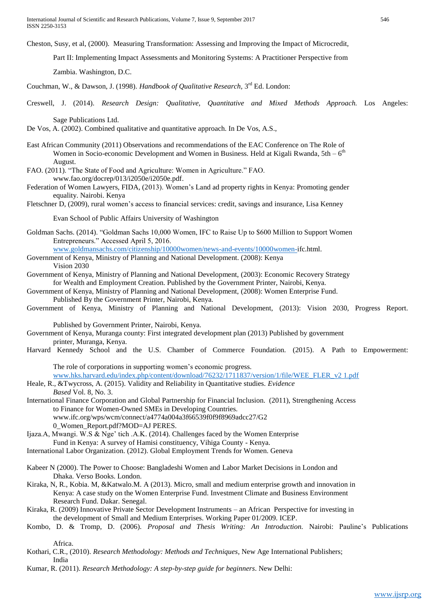International Journal of Scientific and Research Publications, Volume 7, Issue 9, September 2017 546 ISSN 2250-3153

Cheston, Susy, et al, (2000). Measuring Transformation: Assessing and Improving the Impact of Microcredit,

Part II: Implementing Impact Assessments and Monitoring Systems: A Practitioner Perspective from

Zambia. Washington, D.C.

Couchman, W., & Dawson, J. (1998). *Handbook of Qualitative Research*, 3<sup>rd</sup> Ed. London:

Creswell, J. (2014). *Research Design: Qualitative, Quantitative and Mixed Methods Approach.* Los Angeles:

Sage Publications Ltd.

De Vos, A. (2002). Combined qualitative and quantitative approach. In De Vos, A.S.,

- East African Community (2011) Observations and recommendations of the EAC Conference on The Role of Women in Socio-economic Development and Women in Business. Held at Kigali Rwanda, 5th –  $6<sup>th</sup>$ August.
- FAO. (2011). "The State of Food and Agriculture: Women in Agriculture." FAO. [www.fao.org/docrep/013/i2050e/i2050e.pdf.](http://www.fao.org/docrep/013/i2050e/i2050e.pdf)
- Federation of Women Lawyers, FIDA, (2013). Women's Land ad property rights in Kenya: Promoting gender equality. Nairobi. Kenya

Fletschner D, (2009), rural women's access to financial services: credit, savings and insurance, Lisa Kenney

Evan School of Public Affairs University of Washington

Goldman Sachs. (2014). "Goldman Sachs 10,000 Women, IFC to Raise Up to \$600 Million to Support Women Entrepreneurs." Accessed April 5, 2016.

[www.goldmansachs.com/citizenship/10000women/news-and-events/10000women-i](http://www.goldmansachs.com/citizenship/10000women/news-and-events/10000women-)fc.html.

- Government of Kenya, Ministry of Planning and National Development. (2008): Kenya Vision 2030
- Government of Kenya, Ministry of Planning and National Development, (2003): Economic Recovery Strategy for Wealth and Employment Creation. Published by the Government Printer, Nairobi, Kenya.
- Government of Kenya, Ministry of Planning and National Development, (2008): Women Enterprise Fund. Published By the Government Printer, Nairobi, Kenya.
- Government of Kenya, Ministry of Planning and National Development, (2013): Vision 2030, Progress Report.

Published by Government Printer, Nairobi, Kenya.

- Government of Kenya, Muranga county: First integrated development plan (2013) Published by government printer, Muranga, Kenya.
- Harvard Kennedy School and the U.S. Chamber of Commerce Foundation. (2015). A Path to Empowerment:

The role of corporations in supporting women's economic progress. [www.hks.harvard.edu/index.php/content/download/76232/1711837/version/1/file/WEE\\_FLER\\_v2 1.pdf](http://www.hks.harvard.edu/index.php/content/download/76232/1711837/version/1/file/WEE_FLER_v2%201.pdf)

- Heale, R., &Twycross, A. (2015). Validity and Reliability in Quantitative studies. *Evidence Based* Vol. 8, No. 3.
- International Finance Corporation and Global Partnership for Financial Inclusion. (2011), Strengthening Access to Finance for Women-Owned SMEs in Developing Countries. www.ifc.org/wps/wcm/connect/a4774a004a3f66539f0f9f8969adcc27/G2 0\_Women\_Report.pdf?MOD=AJ PERES.
- Ijaza.A, Mwangi. W.S & Nge' tich .A.K. (2014). Challenges faced by the Women Enterprise Fund in Kenya: A survey of Hamisi constituency, Vihiga County - Kenya.
- International Labor Organization. (2012). Global Employment Trends for Women. Geneva
- Kabeer N (2000). The Power to Choose: Bangladeshi Women and Labor Market Decisions in London and Dhaka. Verso Books. London.
- Kiraka, N, R., Kobia. M, &Katwalo.M. A (2013). Micro, small and medium enterprise growth and innovation in Kenya: A case study on the Women Enterprise Fund. Investment Climate and Business Environment Research Fund. Dakar. Senegal.
- Kiraka, R. (2009) Innovative Private Sector Development Instruments an African Perspective for investing in the development of Small and Medium Enterprises. Working Paper 01/2009. ICEP.
- Kombo, D. & Tromp, D. (2006). *Proposal and Thesis Writing: An Introduction.* Nairobi: Pauline's Publications

Africa.

- Kothari, C.R., (2010). *Research Methodology: Methods and Techniques*, New Age International Publishers; India
- Kumar, R. (2011). *Research Methodology: A step-by-step guide for beginners*. New Delhi: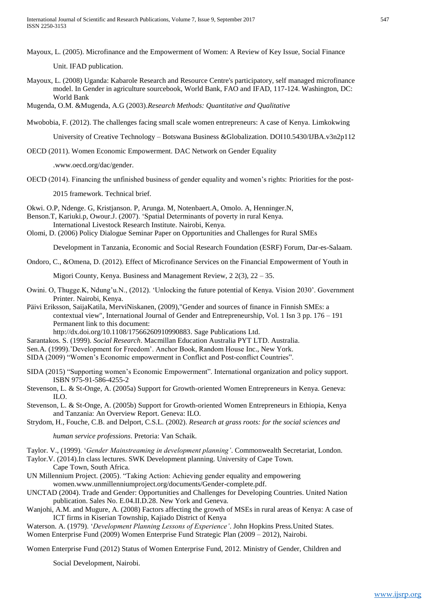Mayoux, L. (2005). Microfinance and the Empowerment of Women: A Review of Key Issue, Social Finance

Unit. IFAD publication.

Mayoux, L. (2008) Uganda: Kabarole Research and Resource Centre's participatory, self managed microfinance model. In Gender in agriculture sourcebook, World Bank, FAO and IFAD, 117-124. Washington, DC: World Bank

Mugenda, O.M. &Mugenda, A.G (2003).*Research Methods: Quantitative and Qualitative*

Mwobobia, F. (2012). The challenges facing small scale women entrepreneurs: A case of Kenya. Limkokwing

University of Creative Technology – Botswana Business &Globalization. DOI10.5430/IJBA.v3n2p112

OECD (2011). Women Economic Empowerment. DAC Network on Gender Equality

.www.oecd.org/dac/gender.

OECD (2014). Financing the unfinished business of gender equality and women's rights: Priorities for the post-

2015 framework. Technical brief.

Okwi. O.P, Ndenge. G, Kristjanson. P, Arunga. M, Notenbaert.A, Omolo. A, Henninger.N,

- Benson.T, Kariuki.p, Owour.J. (2007). 'Spatial Determinants of poverty in rural Kenya. International Livestock Research Institute. Nairobi, Kenya.
- Olomi, D. (2006) Policy Dialogue Seminar Paper on Opportunities and Challenges for Rural SMEs

Development in Tanzania, Economic and Social Research Foundation (ESRF) Forum, Dar-es-Salaam.

Ondoro, C., &Omena, D. (2012). Effect of Microfinance Services on the Financial Empowerment of Youth in

Migori County, Kenya. Business and Management Review, 2 2(3), 22 – 35.

- Owini. O, Thugge.K, Ndung'u.N., (2012). 'Unlocking the future potential of Kenya. Vision 2030'. Government Printer. Nairobi, Kenya.
- Päivi Eriksson, SaijaKatila, MerviNiskanen, (2009),"Gender and sources of finance in Finnish SMEs: a contextual view", International Journal of Gender and Entrepreneurship, Vol. 1 Isn 3 pp. 176 – 191 Permanent link to this document:

[http://dx.doi.org/10.1108/17566260910990883.](http://dx.doi.org/10.1108/17566260910990883) Sage Publications Ltd.

- Sarantakos. S. (1999). *Social Research*. Macmillan Education Australia PYT LTD. Australia.
- Sen.A. (1999).'Development for Freedom'. Anchor Book, Random House Inc., New York.
- SIDA (2009) "Women's Economic empowerment in Conflict and Post-conflict Countries".
- SIDA (2015) "Supporting women's Economic Empowerment". International organization and policy support. ISBN 975-91-586-4255-2
- Stevenson, L. & St-Onge, A. (2005a) Support for Growth-oriented Women Entrepreneurs in Kenya. Geneva: ILO.
- Stevenson, L. & St-Onge, A. (2005b) Support for Growth-oriented Women Entrepreneurs in Ethiopia, Kenya and Tanzania: An Overview Report. Geneva: ILO.
- Strydom, H., Fouche, C.B. and Delport, C.S.L. (2002). *Research at grass roots: for the social sciences and*

*human service professions*. Pretoria: Van Schaik.

- Taylor. V., (1999). '*Gender Mainstreaming in development planning'*. Commonwealth Secretariat, London.
- Taylor.V. (2014).In class lectures. SWK Development planning. University of Cape Town. Cape Town, South Africa.
- UN Millennium Project. (2005). "Taking Action: Achieving gender equality and empowering wome[n.www.unmillenniumproject.org/documents/Gender-complete.pdf.](http://www.unmillenniumproject.org/documents/Gender-complete.pdf)
- UNCTAD (2004). Trade and Gender: Opportunities and Challenges for Developing Countries. United Nation publication. Sales No. E.04.II.D.28. New York and Geneva.
- Wanjohi, A.M. and Mugure, A. (2008) Factors affecting the growth of MSEs in rural areas of Kenya: A case of ICT firms in Kiserian Township, Kajiado District of Kenya

Waterson. A. (1979). '*Development Planning Lessons of Experience'*. John Hopkins Press.United States. Women Enterprise Fund (2009) Women Enterprise Fund Strategic Plan (2009 – 2012), Nairobi.

Women Enterprise Fund (2012) Status of Women Enterprise Fund, 2012. Ministry of Gender, Children and

Social Development, Nairobi.